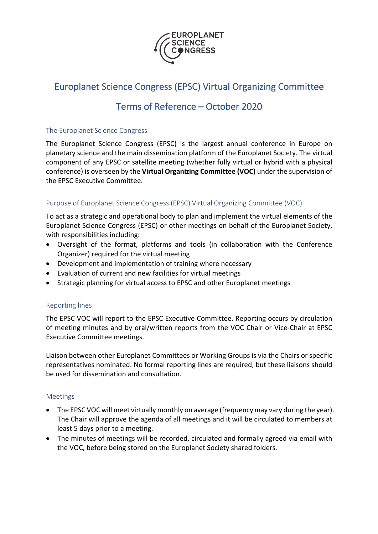

# Europlanet Science Congress (EPSC) Virtual Organizing Committee

## Terms of Reference – October 2020

#### The Europlanet Science Congress

The Europlanet Science Congress (EPSC) is the largest annual conference in Europe on planetary science and the main dissemination platform of the Europlanet Society. The virtual component of any EPSC or satellite meeting (whether fully virtual or hybrid with a physical conference) is overseen by the **Virtual Organizing Committee (VOC)** under the supervision of the EPSC Executive Committee.

### Purpose of Europlanet Science Congress (EPSC) Virtual Organizing Committee (VOC)

To act as a strategic and operational body to plan and implement the virtual elements of the Europlanet Science Congress (EPSC) or other meetings on behalf of the Europlanet Society, with responsibilities including:

- Oversight of the format, platforms and tools (in collaboration with the Conference Organizer) required for the virtual meeting
- Development and implementation of training where necessary
- Evaluation of current and new facilities for virtual meetings
- Strategic planning for virtual access to EPSC and other Europlanet meetings

### Reporting lines

The EPSC VOC will report to the EPSC Executive Committee. Reporting occurs by circulation of meeting minutes and by oral/written reports from the VOC Chair or Vice-Chair at EPSC Executive Committee meetings.

Liaison between other Europlanet Committees or Working Groups is via the Chairs or specific representatives nominated. No formal reporting lines are required, but these liaisons should be used for dissemination and consultation.

### Meetings

- The EPSC VOC will meet virtually monthly on average (frequency may vary during the year). The Chair will approve the agenda of all meetings and it will be circulated to members at least 5 days prior to a meeting.
- The minutes of meetings will be recorded, circulated and formally agreed via email with the VOC, before being stored on the Europlanet Society shared folders.